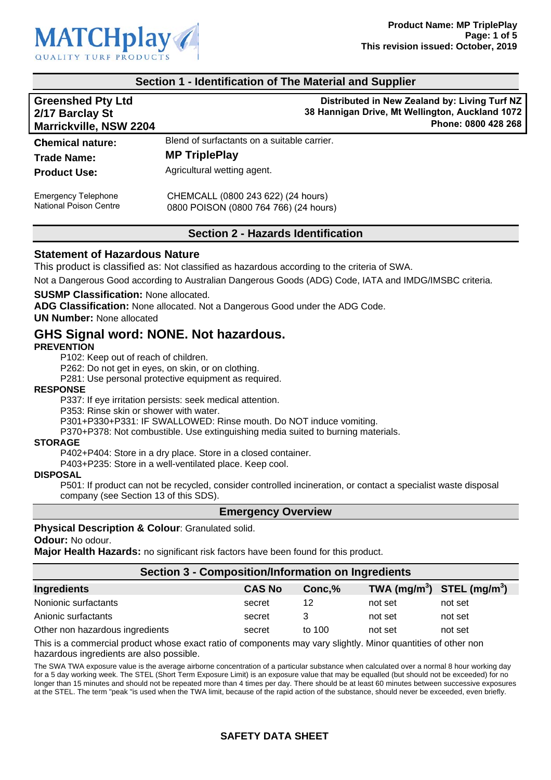

### **Section 1 - Identification of The Material and Supplier**

| <b>Greenshed Pty Ltd</b><br>2/17 Barclay St<br><b>Marrickville, NSW 2204</b> | Distributed in New Zealand by: Living Turf NZ<br>38 Hannigan Drive, Mt Wellington, Auckland 1072<br>Phone: 0800 428 268 |  |
|------------------------------------------------------------------------------|-------------------------------------------------------------------------------------------------------------------------|--|
| <b>Chemical nature:</b>                                                      | Blend of surfactants on a suitable carrier.                                                                             |  |
| <b>Trade Name:</b>                                                           | <b>MP TriplePlay</b>                                                                                                    |  |
| <b>Product Use:</b>                                                          | Agricultural wetting agent.                                                                                             |  |

CHEMCALL (0800 243 622) (24 hours) 0800 POISON (0800 764 766) (24 hours)

### **Section 2 - Hazards Identification**

### **Statement of Hazardous Nature**

This product is classified as: Not classified as hazardous according to the criteria of SWA.

Not a Dangerous Good according to Australian Dangerous Goods (ADG) Code, IATA and IMDG/IMSBC criteria.

**SUSMP Classification:** None allocated.

**ADG Classification:** None allocated. Not a Dangerous Good under the ADG Code.

**UN Number:** None allocated

# **GHS Signal word: NONE. Not hazardous.**

### **PREVENTION**

Emergency Telephone National Poison Centre

P102: Keep out of reach of children.

P262: Do not get in eyes, on skin, or on clothing.

P281: Use personal protective equipment as required.

#### **RESPONSE**

P337: If eye irritation persists: seek medical attention.

P353: Rinse skin or shower with water.

P301+P330+P331: IF SWALLOWED: Rinse mouth. Do NOT induce vomiting.

P370+P378: Not combustible. Use extinguishing media suited to burning materials.

### **STORAGE**

P402+P404: Store in a dry place. Store in a closed container.

P403+P235: Store in a well-ventilated place. Keep cool.

#### **DISPOSAL**

P501: If product can not be recycled, consider controlled incineration, or contact a specialist waste disposal company (see Section 13 of this SDS).

### **Emergency Overview**

### **Physical Description & Colour**: Granulated solid.

**Odour:** No odour.

**Major Health Hazards:** no significant risk factors have been found for this product.

### **Section 3 - Composition/Information on Ingredients**

| Ingredients                     | <b>CAS No</b> | Conc.% | TWA $(mg/m^3)$ STEL $(mg/m^3)$ |         |
|---------------------------------|---------------|--------|--------------------------------|---------|
| Nonionic surfactants            | secret        | 12     | not set                        | not set |
| Anionic surfactants             | secret        | 3      | not set                        | not set |
| Other non hazardous ingredients | secret        | to 100 | not set                        | not set |

This is a commercial product whose exact ratio of components may vary slightly. Minor quantities of other non hazardous ingredients are also possible.

The SWA TWA exposure value is the average airborne concentration of a particular substance when calculated over a normal 8 hour working day for a 5 day working week. The STEL (Short Term Exposure Limit) is an exposure value that may be equalled (but should not be exceeded) for no longer than 15 minutes and should not be repeated more than 4 times per day. There should be at least 60 minutes between successive exposures at the STEL. The term "peak "is used when the TWA limit, because of the rapid action of the substance, should never be exceeded, even briefly.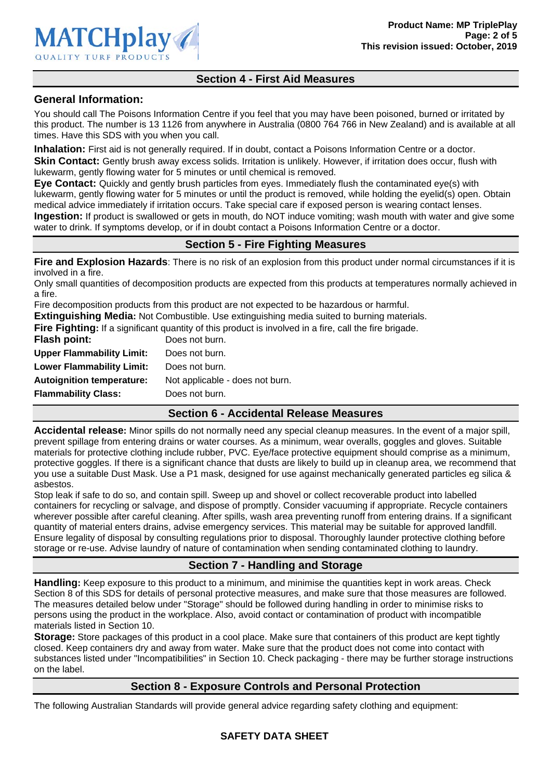

# **Section 4 - First Aid Measures**

### **General Information:**

You should call The Poisons Information Centre if you feel that you may have been poisoned, burned or irritated by this product. The number is 13 1126 from anywhere in Australia (0800 764 766 in New Zealand) and is available at all times. Have this SDS with you when you call.

**Inhalation:** First aid is not generally required. If in doubt, contact a Poisons Information Centre or a doctor. **Skin Contact:** Gently brush away excess solids. Irritation is unlikely. However, if irritation does occur, flush with lukewarm, gently flowing water for 5 minutes or until chemical is removed.

**Eye Contact:** Quickly and gently brush particles from eyes. Immediately flush the contaminated eye(s) with lukewarm, gently flowing water for 5 minutes or until the product is removed, while holding the eyelid(s) open. Obtain medical advice immediately if irritation occurs. Take special care if exposed person is wearing contact lenses.

**Ingestion:** If product is swallowed or gets in mouth, do NOT induce vomiting; wash mouth with water and give some water to drink. If symptoms develop, or if in doubt contact a Poisons Information Centre or a doctor.

### **Section 5 - Fire Fighting Measures**

**Fire and Explosion Hazards**: There is no risk of an explosion from this product under normal circumstances if it is involved in a fire.

Only small quantities of decomposition products are expected from this products at temperatures normally achieved in a fire.

Fire decomposition products from this product are not expected to be hazardous or harmful.

**Extinguishing Media:** Not Combustible. Use extinguishing media suited to burning materials.

**Fire Fighting:** If a significant quantity of this product is involved in a fire, call the fire brigade.

| Flash point:                     | Does not burn.                  |
|----------------------------------|---------------------------------|
| <b>Upper Flammability Limit:</b> | Does not burn.                  |
| <b>Lower Flammability Limit:</b> | Does not burn.                  |
| <b>Autoignition temperature:</b> | Not applicable - does not burn. |
| <b>Flammability Class:</b>       | Does not burn.                  |
|                                  |                                 |

# **Section 6 - Accidental Release Measures**

**Accidental release:** Minor spills do not normally need any special cleanup measures. In the event of a major spill, prevent spillage from entering drains or water courses. As a minimum, wear overalls, goggles and gloves. Suitable materials for protective clothing include rubber, PVC. Eye/face protective equipment should comprise as a minimum, protective goggles. If there is a significant chance that dusts are likely to build up in cleanup area, we recommend that you use a suitable Dust Mask. Use a P1 mask, designed for use against mechanically generated particles eg silica & asbestos.

Stop leak if safe to do so, and contain spill. Sweep up and shovel or collect recoverable product into labelled containers for recycling or salvage, and dispose of promptly. Consider vacuuming if appropriate. Recycle containers wherever possible after careful cleaning. After spills, wash area preventing runoff from entering drains. If a significant quantity of material enters drains, advise emergency services. This material may be suitable for approved landfill. Ensure legality of disposal by consulting regulations prior to disposal. Thoroughly launder protective clothing before storage or re-use. Advise laundry of nature of contamination when sending contaminated clothing to laundry.

# **Section 7 - Handling and Storage**

**Handling:** Keep exposure to this product to a minimum, and minimise the quantities kept in work areas. Check Section 8 of this SDS for details of personal protective measures, and make sure that those measures are followed. The measures detailed below under "Storage" should be followed during handling in order to minimise risks to persons using the product in the workplace. Also, avoid contact or contamination of product with incompatible materials listed in Section 10.

**Storage:** Store packages of this product in a cool place. Make sure that containers of this product are kept tightly closed. Keep containers dry and away from water. Make sure that the product does not come into contact with substances listed under "Incompatibilities" in Section 10. Check packaging - there may be further storage instructions on the label.

# **Section 8 - Exposure Controls and Personal Protection**

The following Australian Standards will provide general advice regarding safety clothing and equipment: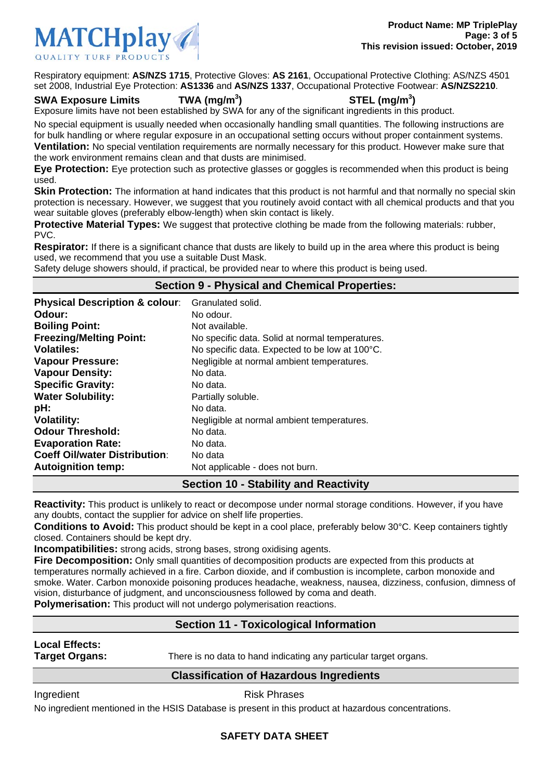

Respiratory equipment: **AS/NZS 1715**, Protective Gloves: **AS 2161**, Occupational Protective Clothing: AS/NZS 4501 set 2008, Industrial Eye Protection: **AS1336** and **AS/NZS 1337**, Occupational Protective Footwear: **AS/NZS2210**.

### **SWA Exposure Limits TWA (mg/m<sup>3</sup>**

# **) STEL (mg/m<sup>3</sup> )**

Exposure limits have not been established by SWA for any of the significant ingredients in this product.

No special equipment is usually needed when occasionally handling small quantities. The following instructions are for bulk handling or where regular exposure in an occupational setting occurs without proper containment systems. **Ventilation:** No special ventilation requirements are normally necessary for this product. However make sure that

the work environment remains clean and that dusts are minimised.

**Eye Protection:** Eye protection such as protective glasses or goggles is recommended when this product is being used.

**Skin Protection:** The information at hand indicates that this product is not harmful and that normally no special skin protection is necessary. However, we suggest that you routinely avoid contact with all chemical products and that you wear suitable gloves (preferably elbow-length) when skin contact is likely.

**Protective Material Types:** We suggest that protective clothing be made from the following materials: rubber, PVC.

**Respirator:** If there is a significant chance that dusts are likely to build up in the area where this product is being used, we recommend that you use a suitable Dust Mask.

Safety deluge showers should, if practical, be provided near to where this product is being used.

# **Section 9 - Physical and Chemical Properties:**

| <b>Physical Description &amp; colour:</b> | Granulated solid.                               |
|-------------------------------------------|-------------------------------------------------|
| Odour:                                    | No odour.                                       |
| <b>Boiling Point:</b>                     | Not available.                                  |
| <b>Freezing/Melting Point:</b>            | No specific data. Solid at normal temperatures. |
| <b>Volatiles:</b>                         | No specific data. Expected to be low at 100°C.  |
| <b>Vapour Pressure:</b>                   | Negligible at normal ambient temperatures.      |
| <b>Vapour Density:</b>                    | No data.                                        |
| <b>Specific Gravity:</b>                  | No data.                                        |
| <b>Water Solubility:</b>                  | Partially soluble.                              |
| pH:                                       | No data.                                        |
| <b>Volatility:</b>                        | Negligible at normal ambient temperatures.      |
| <b>Odour Threshold:</b>                   | No data.                                        |
| <b>Evaporation Rate:</b>                  | No data.                                        |
| <b>Coeff Oil/water Distribution:</b>      | No data                                         |
| <b>Autoignition temp:</b>                 | Not applicable - does not burn.                 |
|                                           | Continue dO, Ctability and Departicity          |

# **Section 10 - Stability and Reactivity**

**Reactivity:** This product is unlikely to react or decompose under normal storage conditions. However, if you have any doubts, contact the supplier for advice on shelf life properties.

**Conditions to Avoid:** This product should be kept in a cool place, preferably below 30°C. Keep containers tightly closed. Containers should be kept dry.

**Incompatibilities:** strong acids, strong bases, strong oxidising agents.

**Fire Decomposition:** Only small quantities of decomposition products are expected from this products at temperatures normally achieved in a fire. Carbon dioxide, and if combustion is incomplete, carbon monoxide and smoke. Water. Carbon monoxide poisoning produces headache, weakness, nausea, dizziness, confusion, dimness of vision, disturbance of judgment, and unconsciousness followed by coma and death.

**Polymerisation:** This product will not undergo polymerisation reactions.

# **Section 11 - Toxicological Information**

# **Local Effects:**

**Target Organs:** There is no data to hand indicating any particular target organs.

# **Classification of Hazardous Ingredients**

Ingredient **Risk Phrases** 

No ingredient mentioned in the HSIS Database is present in this product at hazardous concentrations.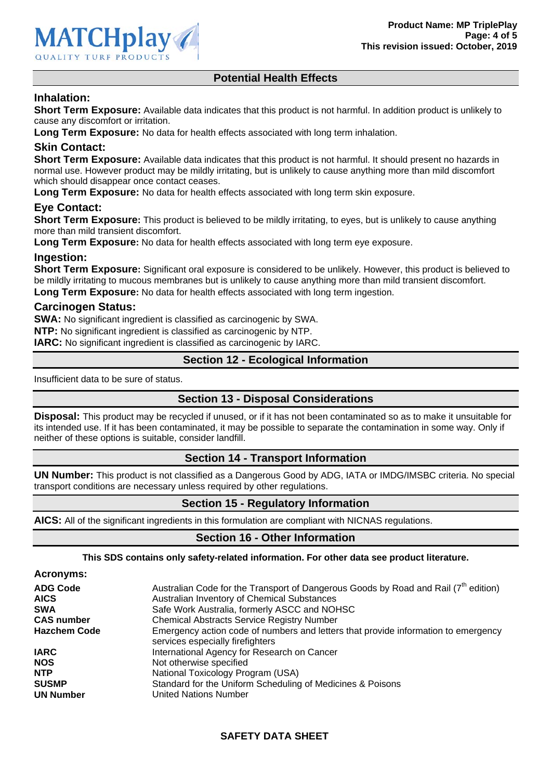# **Potential Health Effects**

# **Inhalation:**

**Short Term Exposure:** Available data indicates that this product is not harmful. In addition product is unlikely to cause any discomfort or irritation.

**Long Term Exposure:** No data for health effects associated with long term inhalation.

### **Skin Contact:**

**Short Term Exposure:** Available data indicates that this product is not harmful. It should present no hazards in normal use. However product may be mildly irritating, but is unlikely to cause anything more than mild discomfort which should disappear once contact ceases.

**Long Term Exposure:** No data for health effects associated with long term skin exposure.

### **Eye Contact:**

**Short Term Exposure:** This product is believed to be mildly irritating, to eyes, but is unlikely to cause anything more than mild transient discomfort.

**Long Term Exposure:** No data for health effects associated with long term eye exposure.

### **Ingestion:**

**Short Term Exposure:** Significant oral exposure is considered to be unlikely. However, this product is believed to be mildly irritating to mucous membranes but is unlikely to cause anything more than mild transient discomfort. **Long Term Exposure:** No data for health effects associated with long term ingestion.

### **Carcinogen Status:**

**SWA:** No significant ingredient is classified as carcinogenic by SWA. **NTP:** No significant ingredient is classified as carcinogenic by NTP. **IARC:** No significant ingredient is classified as carcinogenic by IARC.

# **Section 12 - Ecological Information**

Insufficient data to be sure of status.

### **Section 13 - Disposal Considerations**

**Disposal:** This product may be recycled if unused, or if it has not been contaminated so as to make it unsuitable for its intended use. If it has been contaminated, it may be possible to separate the contamination in some way. Only if neither of these options is suitable, consider landfill.

### **Section 14 - Transport Information**

**UN Number:** This product is not classified as a Dangerous Good by ADG, IATA or IMDG/IMSBC criteria. No special transport conditions are necessary unless required by other regulations.

# **Section 15 - Regulatory Information**

**AICS:** All of the significant ingredients in this formulation are compliant with NICNAS regulations.

### **Section 16 - Other Information**

**This SDS contains only safety-related information. For other data see product literature.** 

**Acronyms: ADG Code** Australian Code for the Transport of Dangerous Goods by Road and Rail (7<sup>th</sup> edition) AICS **AUGUARY AUSTRALIAN AUSTRALIAN AUSTRALIAN AUGUARY AICS** ALCOHOLOGY AUGUSTAL AUGUSTAL AUGUSTAL AUGUSTAL AUGUSTAL **SWA Safe Work Australia, formerly ASCC and NOHSC CAS number** Chemical Abstracts Service Registry Number **Hazchem Code** Emergency action code of numbers and letters that provide information to emergency services especially firefighters **IARC** International Agency for Research on Cancer **NOS** Not otherwise specified **NTP** National Toxicology Program (USA) **SUSMP** Standard for the Uniform Scheduling of Medicines & Poisons **UN Number** United Nations Number